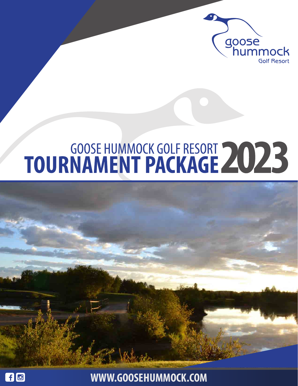

# **GOOSE HUMMOCK GOLF RESORT 2023**



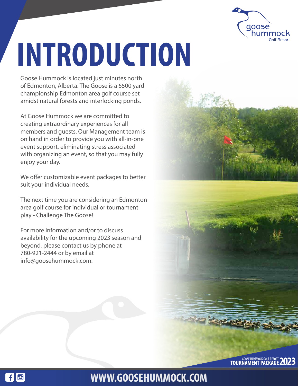

# **INTRODUCTION**

Goose Hummock is located just minutes north of Edmonton, Alberta. The Goose is a 6500 yard championship Edmonton area golf course set amidst natural forests and interlocking ponds.

At Goose Hummock we are committed to creating extraordinary experiences for all members and guests. Our Management team is on hand in order to provide you with all-in-one event support, eliminating stress associated with organizing an event, so that you may fully enjoy your day.

We offer customizable event packages to better suit your individual needs.

The next time you are considering an Edmonton area golf course for individual or tournament play - Challenge The Goose!

For more information and/or to discuss availability for the upcoming 2023 season and beyond, please contact us by phone at 780-921-2444 or by email at info@goosehummock.com.

**TOURNAMENT PACKAGE 2** 

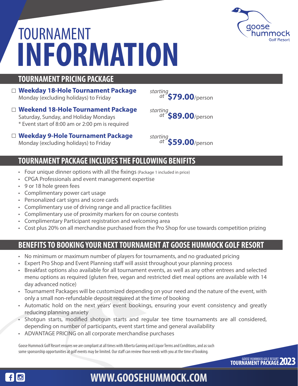

# **INFORMATION** TOURNAMENT

#### **TOURNAMENT PRICING PACKAGE**

- **Weekday 18-Hole Tournament Package** Monday (excluding holidays) to Friday
- **Weekend 18-Hole Tournament Package** Saturday, Sunday, and Holiday Mondays \* Event start of 8:00 am or 2:00 pm is required
- **Weekday 9-Hole Tournament Package** Monday (excluding holidays) to Friday

*starting at* **\$79.00**/person

*starting at* **\$89.00**/person

*starting at* **\$59.00**/person

#### **TOURNAMENT PACKAGE INCLUDES THE FOLLOWING BENIFITS**

- Four unique dinner options with all the fixings (Package 1 included in price)
- CPGA Professionals and event management expertise
- 9 or 18 hole green fees
- Complimentary power cart usage
- Personalized cart signs and score cards
- Complimentary use of driving range and all practice facilities
- Complimentary use of proximity markers for on course contests
- Complimentary Participant registration and welcoming area
- Cost plus 20% on all merchandise purchased from the Pro Shop for use towards competition prizing

#### **BENEFITS TO BOOKING YOUR NEXT TOURNAMENT AT GOOSE HUMMOCK GOLF RESORT**

- No minimum or maximum number of players for tournaments, and no graduated pricing
- Expert Pro Shop and Event Planning staff will assist throughout your planning process
- Breakfast options also available for all tournament events, as well as any other entrees and selected menu options as required (gluten free, vegan and restricted diet meal options are available with 14 day advanced notice)
- Tournament Packages will be customized depending on your need and the nature of the event, with only a small non-refundable deposit required at the time of booking
- Automatic hold on the next years' event bookings, ensuring your event consistency and greatly reducing planning anxiety
- Shotgun starts, modified shotgun starts and regular tee time tournaments are all considered, depending on number of participants, event start time and general availability
- ADVANTAGE PRICING on all corporate merchandise purchases

Goose Hummock Golf Resort ensures we are compliant at all times with Alberta Gaming and Liquor Terms and Conditions, and as such some sponsorship opportunities at golf events may be limited. Our staff can review those needs with you at the time of booking.



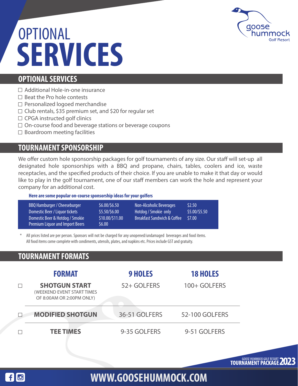

### **SERVICES OPTIONAL**

#### **OPTIONAL SERVICES**

- $\Box$  Additional Hole-in-one insurance
- $\Box$  Beat the Pro hole contests
- $\Box$  Personalized logoed merchandise
- $\Box$  Club rentals, \$35 premium set, and \$20 for regular set
- $\Box$  CPGA instructed golf clinics
- $\Box$  On-course food and beverage stations or beverage coupons
- $\Box$  Boardroom meeting facilities

#### **TOURNAMENT SPONSORSHIP**

We offer custom hole sponsorship packages for golf tournaments of any size. Our staff will set-up all designated hole sponsorships with a BBQ and propane, chairs, tables, coolers and ice, waste receptacles, and the specified products of their choice. If you are unable to make it that day or would like to play in the golf tournament, one of our staff members can work the hole and represent your company for an additional cost.

#### **Here are some popular on-course sponsorship ideas for your golfers**

| <b>BBQ Hamburger / Cheeseburger</b>                               | \$6.00/\$6.50                    | <b>Non-Alcoholic Beverages</b>                                 | \$2.50                  |
|-------------------------------------------------------------------|----------------------------------|----------------------------------------------------------------|-------------------------|
| Domestic Beer / Liquor tickets<br>Domestic Beer & Hotdog / Smokie | \$5.50/\$6.00<br>\$10.00/\$11.00 | Hotdog / Smokie only<br><b>Breakfast Sandwich &amp; Coffee</b> | \$5.00/\$5.50<br>\$7.00 |
| <b>Premium Liquor and Import Beers</b>                            | \$6.00\$                         |                                                                |                         |

All prices listed are per person. Sponsors will not be charged for any unopened/undamaged beverages and food items. All food items come complete with condiments, utensils, plates, and napkins etc. Prices include GST and gratuity.

#### **TOURNAMENT FORMATS**

ld

| <b>FORMAT</b>                                                                   | <b>9 HOLES</b> | <b>18 HOLES</b> |
|---------------------------------------------------------------------------------|----------------|-----------------|
| <b>SHOTGUN START</b><br>(WEEKEND EVENT START TIMES<br>OF 8:00AM OR 2:00PM ONLY) | 52+ GOLFERS    | 100+ GOLFERS    |
| <b>MODIFIED SHOTGUN</b>                                                         | 36-51 GOLFERS  | 52-100 GOLFERS  |
| <b>TEE TIMES</b>                                                                | 9-35 GOLFERS   | 9-51 GOLFERS    |

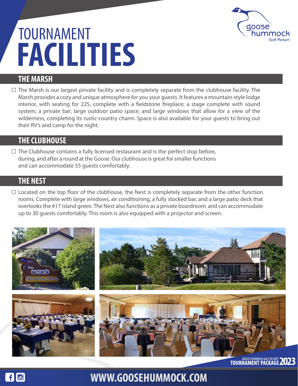

## **FACILITIES** TOURNAMENT

#### **THE MARSH**

 $\Box$  The Marsh is our largest private facility and is completely separate from the clubhouse facility. The Marsh provides a cozy and unique atmosphere for you your guests. It features a mountain-style lodge interior, with seating for 225, complete with a fieldstone fireplace; a stage complete with sound system; a private bar; large outdoor patio space; and large windows that allow for a view of the wilderness, completing its rustic country charm. Space is also available for your guests to bring out their RV's and camp for the night.

#### **THE CLUBHOUSE**

 $\Box$  The Clubhouse contains a fully licensed restaurant and is the perfect stop before, during, and after a round at the Goose. Our clubhouse is great for smaller functions and can accommodate 55 guests comfortably.

#### **THE NEST**

 $\Box$  Located on the top floor of the clubhouse, the Nest is completely separate from the other function rooms. Complete with large windows, air conditioning, a fully stocked bar, and a large patio deck that overlooks the #17 island green. The Nest also functions as a private boardroom and can accommodate up to 30 guests comfortably. This room is also equipped with a projector and screen.



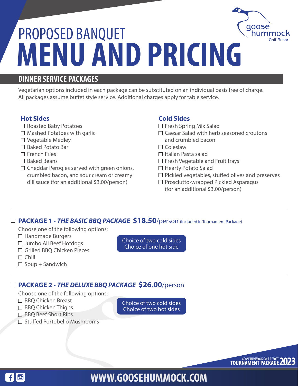

# **MENU AND PRICING** PROPOSED BANQUET

#### **DINNER SERVICE PACKAGES**

Vegetarian options included in each package can be substituted on an individual basis free of charge. All packages assume buffet style service. Additional charges apply for table service.

#### **Hot Sides**

- □ Roasted Baby Potatoes
- $\Box$  Mashed Potatoes with garlic
- $\square$  Vegetable Medley
- $\Box$  Baked Potato Bar
- $\Box$  French Fries
- $\Box$  Baked Beans
- $\Box$  Cheddar Perogies served with green onions, crumbled bacon, and sour cream or creamy dill sauce (for an additional \$3.00/person)

#### **Cold Sides**

- $\Box$  Fresh Spring Mix Salad
- $\Box$  Caesar Salad with herb seasoned croutons and crumbled bacon
- $\Box$  Coleslaw
- $\Box$  Italian Pasta salad
- $\Box$  Fresh Vegetable and Fruit trays
- □ Hearty Potato Salad
- $\Box$  Pickled vegetables, stuffed olives and preserves
- $\square$  Prosciutto-wrapped Pickled Asparagus (for an additional \$3.00/person)

#### **PACKAGE 1 -** *THE BASIC BBQ PACKAGE* **\$18.50**/person (Included in Tournament Package)

Choose one of the following options:

- $\Box$  Handmade Burgers
- □ Jumbo All Beef Hotdogs
- □ Grilled BBO Chicken Pieces
- $\square$  Chili
- $\Box$  Soup + Sandwich

Choice of two cold sides Choice of one hot side

#### **PACKAGE 2 -** *THE DELUXE BBQ PACKAGE* **\$26.00**/person

Choose one of the following options:

- □ BBQ Chicken Breast
- □ BBQ Chicken Thighs
- □ BBO Beef Short Ribs
- $\square$  Stuffed Portobello Mushrooms

Choice of two cold sides Choice of two hot sides



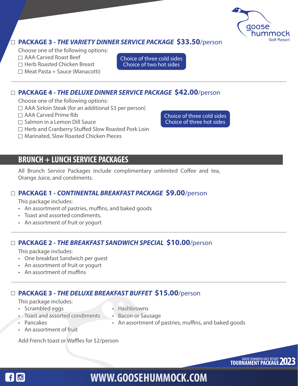

#### **PACKAGE 3 -** *THE VARIETY DINNER SERVICE PACKAGE* **\$33.50**/person

Choose one of the following options:

AAA Carved Roast Beef

□ Herb Roasted Chicken Breast

 $\Box$  Meat Pasta + Sauce (Manacotti)

Choice of three cold sides Choice of two hot sides

#### **PACKAGE 4 -** *THE DELUXE DINNER SERVICE PACKAGE* **\$42.00**/person

Choose one of the following options:

- $\Box$  AAA Sirloin Steak (for an additional \$3 per person)
- □ AAA Carved Prime Rib
- $\Box$  Salmon in a Lemon Dill Sauce
- $\Box$  Herb and Cranberry Stuffed Slow Roasted Pork Loin
- □ Marinated, Slow Roasted Chicken Pieces

Choice of three cold sides Choice of three hot sides

#### **BRUNCH + LUNCH SERVICE PACKAGES**

All Brunch Service Packages include complimentary unlimited Coffee and tea, Orange Juice, and condiments.

#### **PACKAGE 1 -** *CONTINENTAL BREAKFAST PACKAGE* **\$9.00**/person

This package includes:

- An assortment of pastries, muffins, and baked goods
- Toast and assorted condiments.
- An assortment of fruit or yogurt

#### **PACKAGE 2 -** *THE BREAKFAST SANDWICH SPECIAL* **\$10.00**/person

This package includes:

- One breakfast Sandwich per guest
- An assortment of fruit or yogurt
- An assortment of muffins

#### **PACKAGE 3 -** *THE DELUXE BREAKFAST BUFFET* **\$15.00**/person

This package includes:

- Scrambled eggs Hashbrowns
	-
- Toast and assorted condiments Bacon or Sausage
- 

lol

- Pancakes An assortment of pastries, muffins, and baked goods
- An assortment of fruit

Add French toast or Waffles for \$2/person

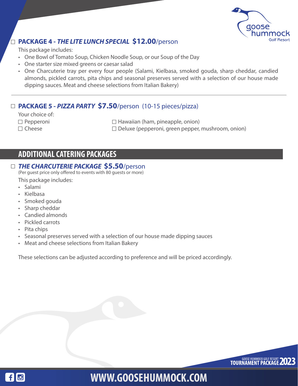

#### **PACKAGE 4 -** *THE LITE LUNCH SPECIAL* **\$12.00**/person

This package includes:

- One Bowl of Tomato Soup, Chicken Noodle Soup, or our Soup of the Day
- One starter size mixed greens or caesar salad
- One Charcuterie tray per every four people (Salami, Kielbasa, smoked gouda, sharp cheddar, candied almonds, pickled carrots, pita chips and seasonal preserves served with a selection of our house made dipping sauces. Meat and cheese selections from Italian Bakery)

#### **PACKAGE 5 -** *PIZZA PARTY* **\$7.50**/person (10-15 pieces/pizza)

Your choice of:

 $\Box$  Pepperoni  $\Box$  Hawaiian (ham, pineapple, onion)

 $\square$  Cheese  $\square$  Deluxe (pepperoni, green pepper, mushroom, onion)

#### **ADDITIONAL CATERING PACKAGES**

#### *THE CHARCUTERIE PACKAGE* **\$5.50**/person

(Per quest price only offered to events with 80 quests or more)

This package includes:

- Salami
- Kielbasa
- Smoked gouda
- Sharp cheddar
- Candied almonds
- Pickled carrots
- Pita chips
- Seasonal preserves served with a selection of our house made dipping sauces
- Meat and cheese selections from Italian Bakery

These selections can be adjusted according to preference and will be priced accordingly.



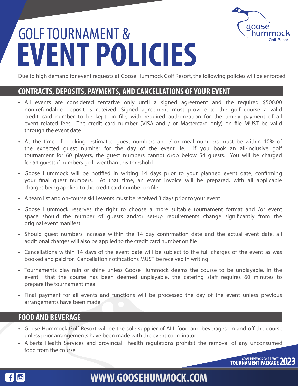

**TOURNAMENT PACKAGE 2023** 

## **EVENT POLICIES** GOLF TOURNAMENT &

Due to high demand for event requests at Goose Hummock Golf Resort, the following policies will be enforced.

#### **CONTRACTS, DEPOSITS, PAYMENTS, AND CANCELLATIONS OF YOUR EVENT**

- All events are considered tentative only until a signed agreement and the required \$500.00 non-refundable deposit is received. Signed agreement must provide to the golf course a valid credit card number to be kept on file, with required authorization for the timely payment of all event related fees. The credit card number (VISA and / or Mastercard only) on file MUST be valid through the event date
- At the time of booking, estimated guest numbers and / or meal numbers must be within 10% of the expected guest number for the day of the event, ie. if you book an all-inclusive golf tournament for 60 players, the guest numbers cannot drop below 54 guests. You will be charged for 54 guests if numbers go lower than this threshold
- Goose Hummock will be notified in writing 14 days prior to your planned event date, confirming your final quest numbers. At that time, an event invoice will be prepared, with all applicable charges being applied to the credit card number on file
- A team list and on-course skill events must be received 3 days prior to your event
- Goose Hummock reserves the right to choose a more suitable tournament format and /or event space should the number of quests and/or set-up requirements change significantly from the original event manifest
- Should quest numbers increase within the 14 day confirmation date and the actual event date, all additional charges will also be applied to the credit card number on file
- Cancellations within 14 days of the event date will be subject to the full charges of the event as was booked and paid for. Cancellation notifications MUST be received in writing
- Tournaments play rain or shine unless Goose Hummock deems the course to be unplayable. In the event that the course has been deemed unplayable, the catering staff requires 60 minutes to prepare the tournament meal
- Final payment for all events and functions will be processed the day of the event unless previous arrangements have been made

#### **FOOD AND BEVERAGE**

- Goose Hummock Golf Resort will be the sole supplier of ALL food and beverages on and off the course unless prior arrangements have been made with the event coordinator
- Alberta Health Services and provincial health regulations prohibit the removal of any unconsumed food from the course